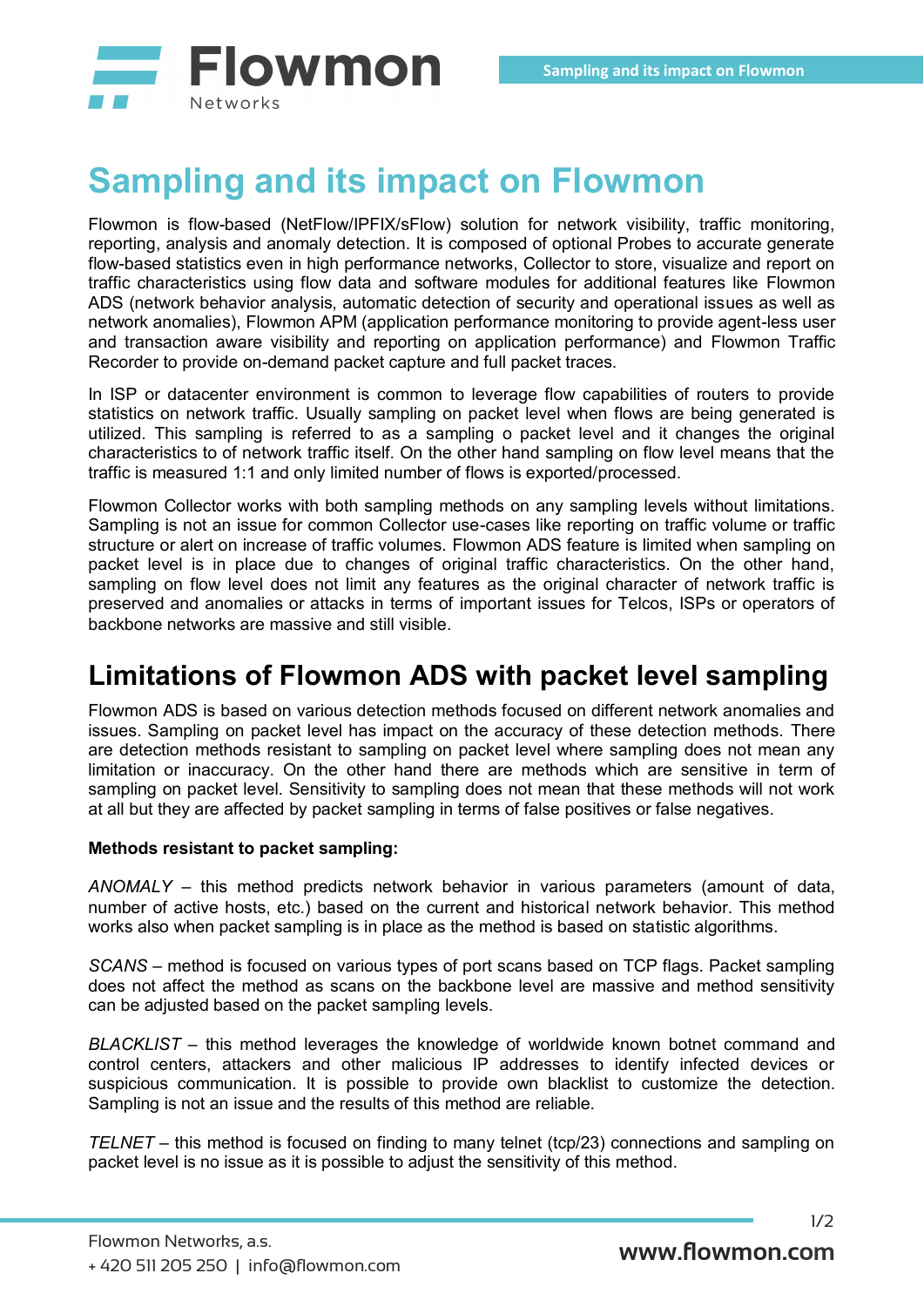

## **Sampling and its impact on Flowmon**

Flowmon is flow-based (NetFlow/IPFIX/sFlow) solution for network visibility, traffic monitoring, reporting, analysis and anomaly detection. It is composed of optional Probes to accurate generate flow-based statistics even in high performance networks, Collector to store, visualize and report on traffic characteristics using flow data and software modules for additional features like Flowmon ADS (network behavior analysis, automatic detection of security and operational issues as well as network anomalies), Flowmon APM (application performance monitoring to provide agent-less user and transaction aware visibility and reporting on application performance) and Flowmon Traffic Recorder to provide on-demand packet capture and full packet traces.

In ISP or datacenter environment is common to leverage flow capabilities of routers to provide statistics on network traffic. Usually sampling on packet level when flows are being generated is utilized. This sampling is referred to as a sampling o packet level and it changes the original characteristics to of network traffic itself. On the other hand sampling on flow level means that the traffic is measured 1:1 and only limited number of flows is exported/processed.

Flowmon Collector works with both sampling methods on any sampling levels without limitations. Sampling is not an issue for common Collector use-cases like reporting on traffic volume or traffic structure or alert on increase of traffic volumes. Flowmon ADS feature is limited when sampling on packet level is in place due to changes of original traffic characteristics. On the other hand, sampling on flow level does not limit any features as the original character of network traffic is preserved and anomalies or attacks in terms of important issues for Telcos, ISPs or operators of backbone networks are massive and still visible.

## **Limitations of Flowmon ADS with packet level sampling**

Flowmon ADS is based on various detection methods focused on different network anomalies and issues. Sampling on packet level has impact on the accuracy of these detection methods. There are detection methods resistant to sampling on packet level where sampling does not mean any limitation or inaccuracy. On the other hand there are methods which are sensitive in term of sampling on packet level. Sensitivity to sampling does not mean that these methods will not work at all but they are affected by packet sampling in terms of false positives or false negatives.

## **Methods resistant to packet sampling:**

*ANOMALY* – this method predicts network behavior in various parameters (amount of data, number of active hosts, etc.) based on the current and historical network behavior. This method works also when packet sampling is in place as the method is based on statistic algorithms.

*SCANS* – method is focused on various types of port scans based on TCP flags. Packet sampling does not affect the method as scans on the backbone level are massive and method sensitivity can be adjusted based on the packet sampling levels.

*BLACKLIST* – this method leverages the knowledge of worldwide known botnet command and control centers, attackers and other malicious IP addresses to identify infected devices or suspicious communication. It is possible to provide own blacklist to customize the detection. Sampling is not an issue and the results of this method are reliable.

*TELNET* – this method is focused on finding to many telnet (tcp/23) connections and sampling on packet level is no issue as it is possible to adjust the sensitivity of this method.

**www.flowmon.com**